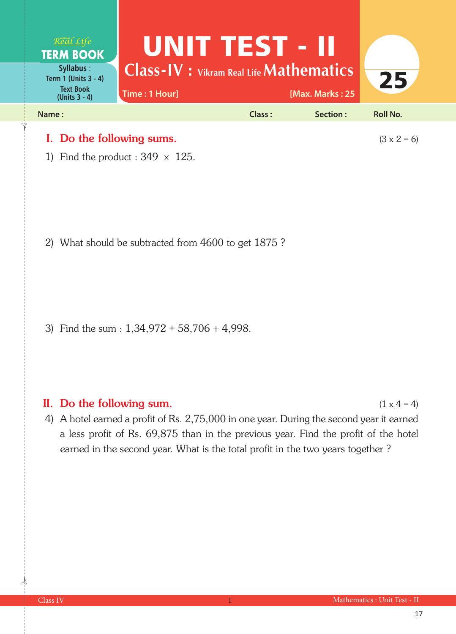

1) Find the product :  $349 \times 125$ .

2) What should be subtracted from 4600 to get 1875 ?

3) Find the sum :  $1,34,972 + 58,706 + 4,998$ .

## II. Do the following sum.  $(1 \times 4 = 4)$

4) A hotel earned a profit of Rs. 2,75,000 in one year. During the second year it earned a less profit of Rs. 69,875 than in the previous year. Find the profit of the hotel earned in the second year. What is the total profit in the two years together ?

 $\frac{1}{2}$